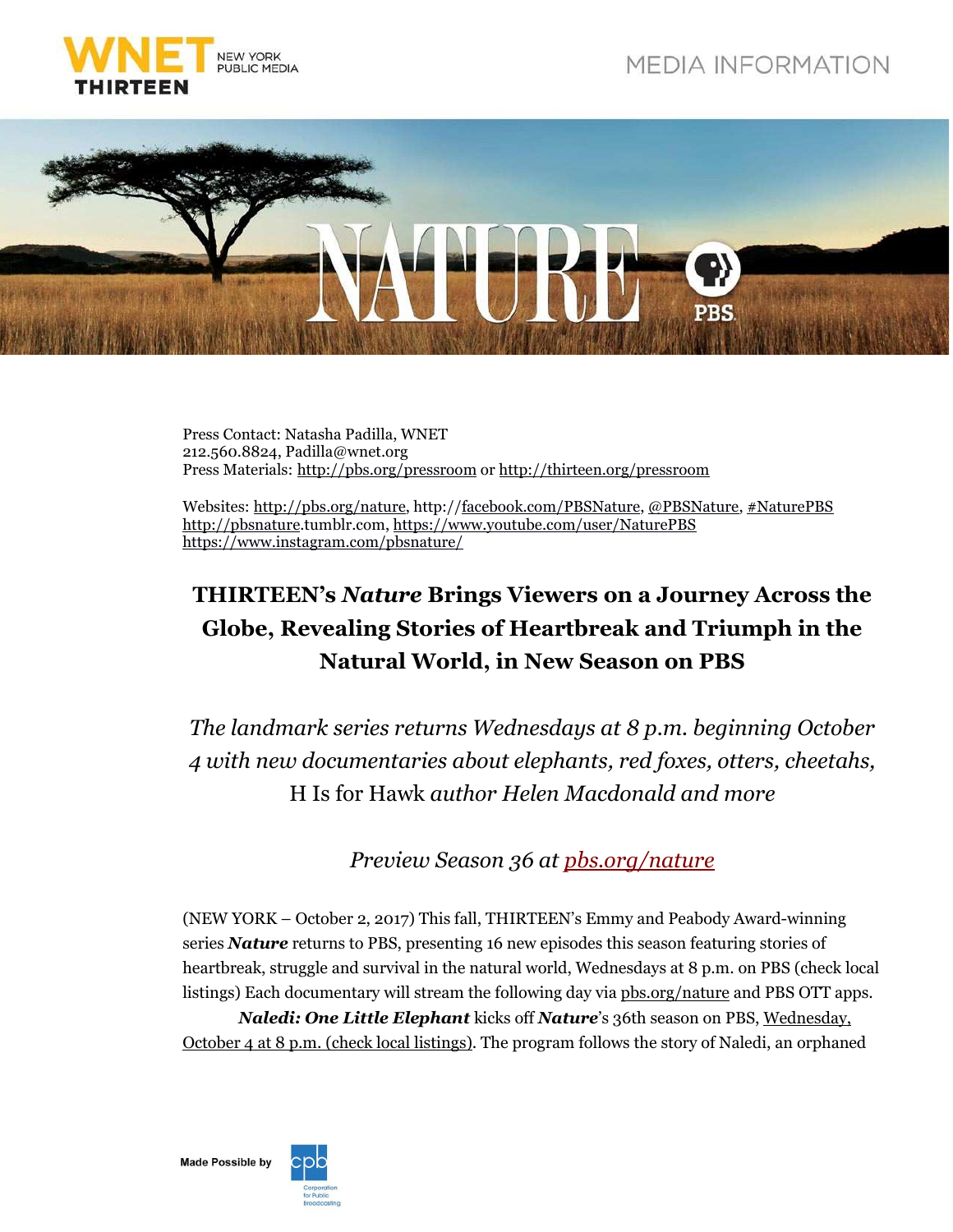



Press Contact: Natasha Padilla, WNET 212.560.8824, Padilla@wnet.org Press Materials: http://pbs.org/pressroom or http://thirteen.org/pressroom

Websites: http://pbs.org/nature, http://facebook.com/PBSNature, @PBSNature, #NaturePBS http://pbsnature.tumblr.com, https://www.youtube.com/user/NaturePBS https://www.instagram.com/pbsnature/

# **THIRTEEN's** *Nature* **Brings Viewers on a Journey Across the Globe, Revealing Stories of Heartbreak and Triumph in the Natural World, in New Season on PBS**

*The landmark series returns Wednesdays at 8 p.m. beginning October 4 with new documentaries about elephants, red foxes, otters, cheetahs,*  H Is for Hawk *author Helen Macdonald and more*

*Preview Season 36 at pbs.org/nature*

(NEW YORK – October 2, 2017) This fall, THIRTEEN's Emmy and Peabody Award-winning series *Nature* returns to PBS, presenting 16 new episodes this season featuring stories of heartbreak, struggle and survival in the natural world, Wednesdays at 8 p.m. on PBS (check local listings) Each documentary will stream the following day via pbs.org/nature and PBS OTT apps.

*Naledi: One Little Elephant* kicks off *Nature*'s 36th season on PBS, *Wednesday*, October 4 at 8 p.m. (check local listings). The program follows the story of Naledi, an orphaned

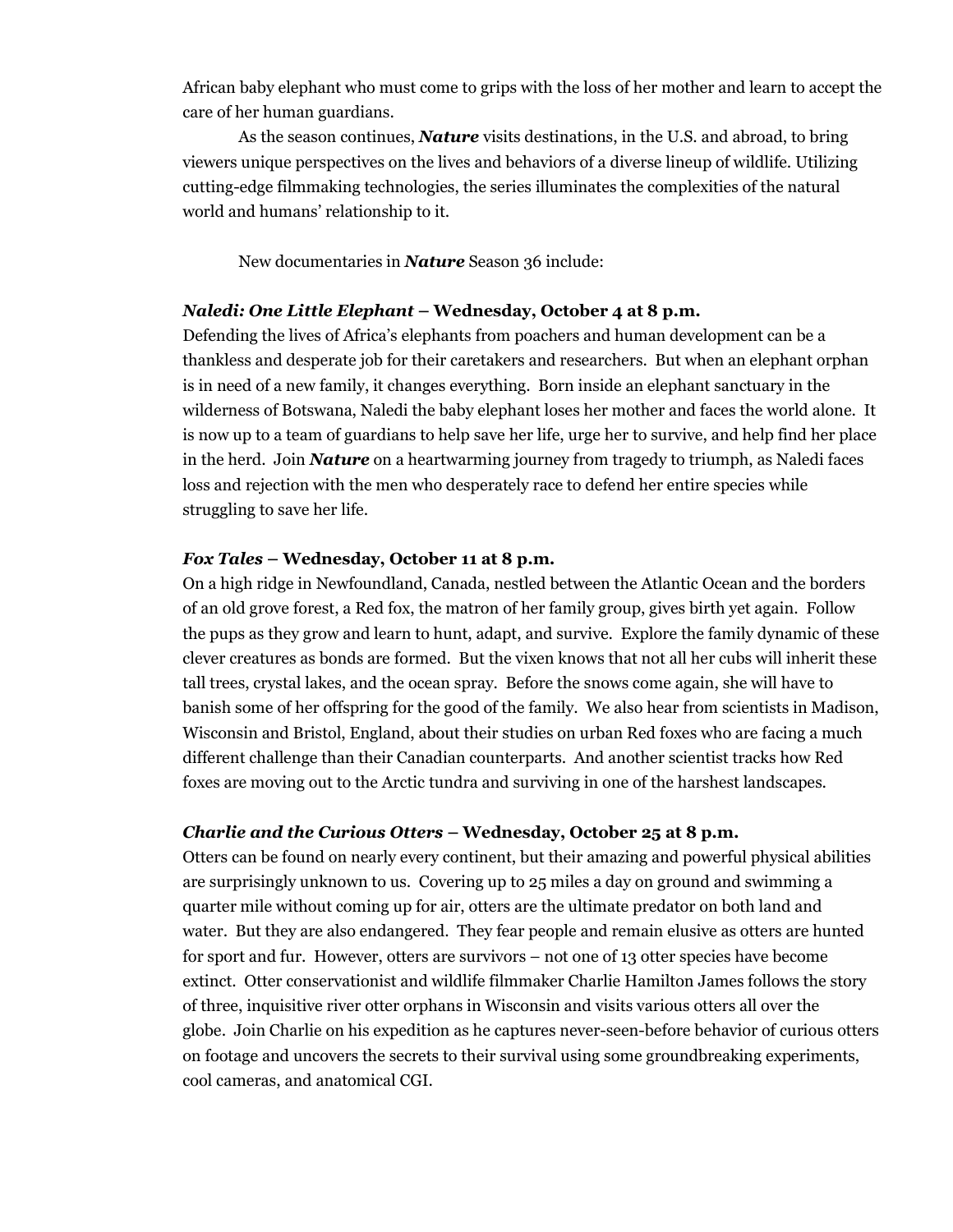African baby elephant who must come to grips with the loss of her mother and learn to accept the care of her human guardians.

As the season continues, *Nature* visits destinations, in the U.S. and abroad, to bring viewers unique perspectives on the lives and behaviors of a diverse lineup of wildlife. Utilizing cutting-edge filmmaking technologies, the series illuminates the complexities of the natural world and humans' relationship to it.

New documentaries in *Nature* Season 36 include:

#### *Naledi: One Little Elephant* **– Wednesday, October 4 at 8 p.m.**

Defending the lives of Africa's elephants from poachers and human development can be a thankless and desperate job for their caretakers and researchers. But when an elephant orphan is in need of a new family, it changes everything. Born inside an elephant sanctuary in the wilderness of Botswana, Naledi the baby elephant loses her mother and faces the world alone. It is now up to a team of guardians to help save her life, urge her to survive, and help find her place in the herd. Join *Nature* on a heartwarming journey from tragedy to triumph, as Naledi faces loss and rejection with the men who desperately race to defend her entire species while struggling to save her life.

#### *Fox Tales* **– Wednesday, October 11 at 8 p.m.**

On a high ridge in Newfoundland, Canada, nestled between the Atlantic Ocean and the borders of an old grove forest, a Red fox, the matron of her family group, gives birth yet again. Follow the pups as they grow and learn to hunt, adapt, and survive. Explore the family dynamic of these clever creatures as bonds are formed. But the vixen knows that not all her cubs will inherit these tall trees, crystal lakes, and the ocean spray. Before the snows come again, she will have to banish some of her offspring for the good of the family. We also hear from scientists in Madison, Wisconsin and Bristol, England, about their studies on urban Red foxes who are facing a much different challenge than their Canadian counterparts. And another scientist tracks how Red foxes are moving out to the Arctic tundra and surviving in one of the harshest landscapes.

## *Charlie and the Curious Otters* **– Wednesday, October 25 at 8 p.m.**

Otters can be found on nearly every continent, but their amazing and powerful physical abilities are surprisingly unknown to us. Covering up to 25 miles a day on ground and swimming a quarter mile without coming up for air, otters are the ultimate predator on both land and water. But they are also endangered. They fear people and remain elusive as otters are hunted for sport and fur. However, otters are survivors – not one of 13 otter species have become extinct. Otter conservationist and wildlife filmmaker Charlie Hamilton James follows the story of three, inquisitive river otter orphans in Wisconsin and visits various otters all over the globe. Join Charlie on his expedition as he captures never-seen-before behavior of curious otters on footage and uncovers the secrets to their survival using some groundbreaking experiments, cool cameras, and anatomical CGI.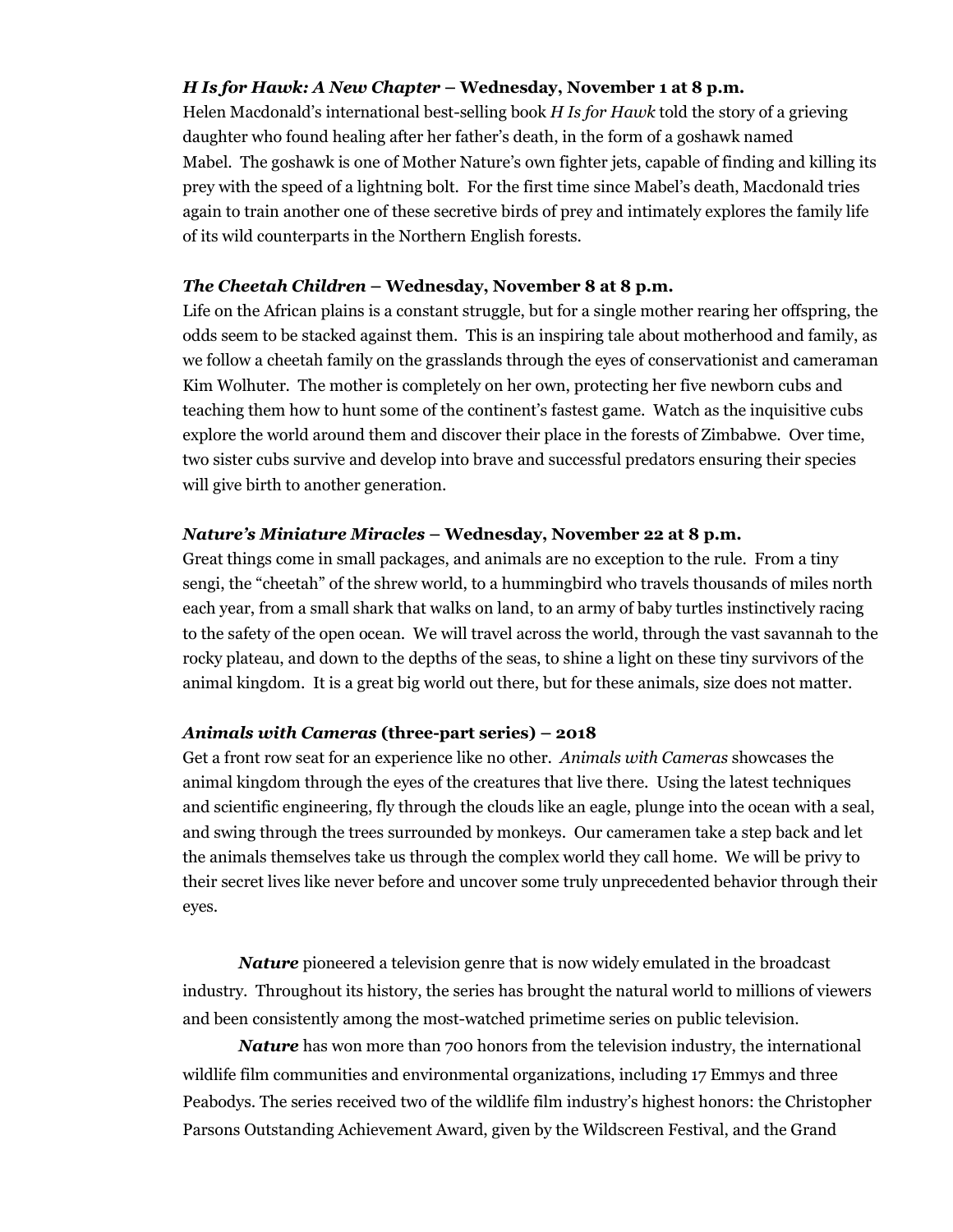## *H Is for Hawk: A New Chapter* **– Wednesday, November 1 at 8 p.m.**

Helen Macdonald's international best-selling book *H Is for Hawk* told the story of a grieving daughter who found healing after her father's death, in the form of a goshawk named Mabel. The goshawk is one of Mother Nature's own fighter jets, capable of finding and killing its prey with the speed of a lightning bolt. For the first time since Mabel's death, Macdonald tries again to train another one of these secretive birds of prey and intimately explores the family life of its wild counterparts in the Northern English forests.

#### *The Cheetah Children* **– Wednesday, November 8 at 8 p.m.**

Life on the African plains is a constant struggle, but for a single mother rearing her offspring, the odds seem to be stacked against them. This is an inspiring tale about motherhood and family, as we follow a cheetah family on the grasslands through the eyes of conservationist and cameraman Kim Wolhuter. The mother is completely on her own, protecting her five newborn cubs and teaching them how to hunt some of the continent's fastest game. Watch as the inquisitive cubs explore the world around them and discover their place in the forests of Zimbabwe. Over time, two sister cubs survive and develop into brave and successful predators ensuring their species will give birth to another generation.

## *Nature's Miniature Miracles* **– Wednesday, November 22 at 8 p.m.**

Great things come in small packages, and animals are no exception to the rule. From a tiny sengi, the "cheetah" of the shrew world, to a hummingbird who travels thousands of miles north each year, from a small shark that walks on land, to an army of baby turtles instinctively racing to the safety of the open ocean. We will travel across the world, through the vast savannah to the rocky plateau, and down to the depths of the seas, to shine a light on these tiny survivors of the animal kingdom. It is a great big world out there, but for these animals, size does not matter.

# *Animals with Cameras* **(three-part series) – 2018**

Get a front row seat for an experience like no other. *Animals with Cameras* showcases the animal kingdom through the eyes of the creatures that live there. Using the latest techniques and scientific engineering, fly through the clouds like an eagle, plunge into the ocean with a seal, and swing through the trees surrounded by monkeys. Our cameramen take a step back and let the animals themselves take us through the complex world they call home. We will be privy to their secret lives like never before and uncover some truly unprecedented behavior through their eyes.

*Nature* pioneered a television genre that is now widely emulated in the broadcast industry. Throughout its history, the series has brought the natural world to millions of viewers and been consistently among the most-watched primetime series on public television.

*Nature* has won more than 700 honors from the television industry, the international wildlife film communities and environmental organizations, including 17 Emmys and three Peabodys. The series received two of the wildlife film industry's highest honors: the Christopher Parsons Outstanding Achievement Award, given by the Wildscreen Festival, and the Grand